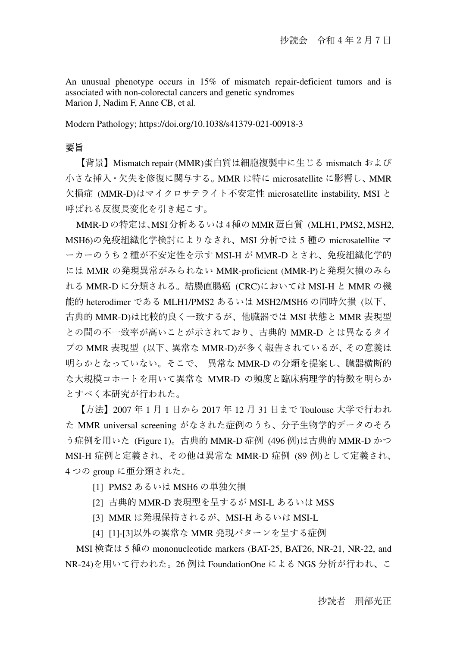An unusual phenotype occurs in 15% of mismatch repair-deficient tumors and is associated with non-colorectal cancers and genetic syndromes Marion J, Nadim F, Anne CB, et al.

Modern Pathology; https://doi.org/10.1038/s41379-021-00918-3

### 要旨

【背景】Mismatch repair (MMR)蛋白質は細胞複製中に生じる mismatch および 小さな挿入・欠失を修復に関与する。MMR は特に microsatellite に影響し、MMR 欠損症 (MMR-D)はマイクロサテライト不安定性 microsatellite instability, MSI と 呼ばれる反復⻑変化を引き起こす。

MMR-Dの特定は、MSI分析あるいは4種のMMR蛋白質 (MLH1, PMS2, MSH2, MSH6)の免疫組織化学検討によりなされ、MSI 分析では 5 種の microsatellite マ ーカーのうち 2 種が不安定性を示す MSI-H が MMR-D とされ、免疫組織化学的 には MMR の発現異常がみられない MMR-proficient (MMR-P)と発現欠損のみら れる MMR-D に分類される。結腸直腸癌 (CRC)においては MSI-H と MMR の機 能的 heterodimer である MLH1/PMS2 あるいは MSH2/MSH6 の同時欠損 (以下、 古典的 MMR-D)は比較的良く一致するが、他臓器では MSI 状態と MMR 表現型 との間の不一致率が高いことが示されており、古典的 MMR-D とは異なるタイ プの MMR 表現型 (以下、異常な MMR-D)が多く報告されているが、その意義は 明らかとなっていない。そこで、 異常な MMR-D の分類を提案し、臓器横断的 な大規模コホートを用いて異常な MMR-D の頻度と臨床病理学的特徴を明らか とすべく本研究が行われた。

【方法】2007 年 1 月 1 日から 2017 年 12 月 31 日まで Toulouse 大学で行われ た MMR universal screening がなされた症例のうち、分子生物学的データのそろ う症例を用いた (Figure 1)。古典的 MMR-D 症例 (496 例)は古典的 MMR-D かつ MSI-H 症例と定義され、その他は異常な MMR-D 症例 (89 例)として定義され、 4 つの group に亜分類された。

- [1] PMS2 あるいは MSH6 の単独欠損
- [2] 古典的 MMR-D 表現型を呈するが MSI-L あるいは MSS
- [3] MMR は発現保持されるが、MSI-H あるいは MSI-L
- [4] [1]-[3]以外の異常な MMR 発現パターンを呈する症例

MSI 検査は 5 種の mononucleotide markers (BAT-25, BAT26, NR-21, NR-22, and NR-24)を用いて行われた。26 例は FoundationOne による NGS 分析が行われ、こ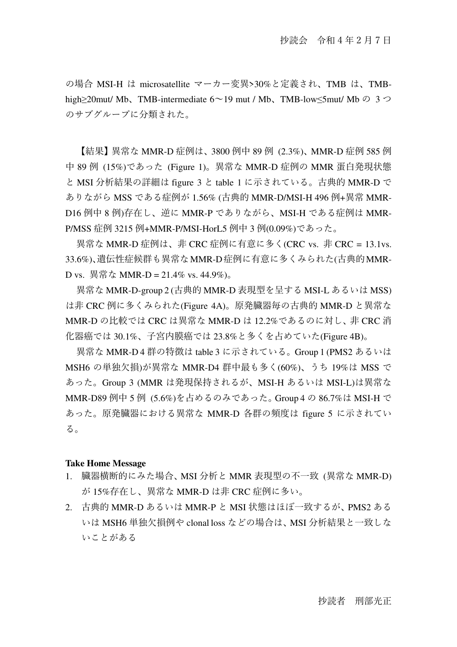の場合 MSI-H は microsatellite マーカー変異>30%と定義され、TMB は、TMBhigh≥20mut/ Mb、TMB-intermediate 6〜19 mut / Mb、TMB-low≤5mut/ Mb の 3 つ のサブグループに分類された。

【結果】異常な MMR-D 症例は、3800 例中 89 例 (2.3%)、MMR-D 症例 585 例 中 89 例 (15%)であった (Figure 1)。異常な MMR-D 症例の MMR 蛋白発現状態 と MSI 分析結果の詳細は figure 3 と table 1 に示されている。古典的 MMR-D で ありながら MSS である症例が 1.56% (古典的 MMR-D/MSI-H 496 例+異常 MMR-D16 例中 8 例)存在し、逆に MMR-P でありながら、MSI-H である症例は MMR-P/MSS 症例 3215 例+MMR-P/MSI-HorL5 例中 3 例(0.09%)であった。

異常な MMR-D 症例は、非 CRC 症例に有意に多く(CRC vs. 非 CRC = 13.1vs. 33.6%)、遺伝性症候群も異常なMMR-D症例に有意に多くみられた(古典的MMR-D vs. 異常な MMR-D = 21.4% vs. 44.9%)。

異常な MMR-D-group 2 (古典的 MMR-D 表現型を呈する MSI-L あるいは MSS) は非 CRC 例に多くみられた(Figure 4A)。原発臓器毎の古典的 MMR-D と異常な MMR-D の比較では CRC は異常な MMR-D は 12.2%であるのに対し、非 CRC 消 化器癌では 30.1%、子宮内膜癌では 23.8%と多くを占めていた(Figure 4B)。

異常な MMR-D 4 群の特徴は table 3 に示されている。Group 1 (PMS2 あるいは MSH6 の単独欠損)が異常な MMR-D4 群中最も多く(60%)、うち 19%は MSS で あった。Group 3 (MMR は発現保持されるが、MSI-H あるいは MSI-L)は異常な MMR-D89 例中 5 例 (5.6%)を占めるのみであった。Group 4 の 86.7%は MSI-H で あった。原発臓器における異常な MMR-D 各群の頻度は figure 5 に示されてい る。

#### **Take Home Message**

- 1. 臓器横断的にみた場合、MSI 分析と MMR 表現型の不一致 (異常な MMR-D) が 15%存在し、異常な MMR-D は非 CRC 症例に多い。
- 2. 古典的 MMR-D あるいは MMR-P と MSI 状態はほぼ一致するが、PMS2 ある いは MSH6 単独欠損例や clonal loss などの場合は、MSI 分析結果と一致しな いことがある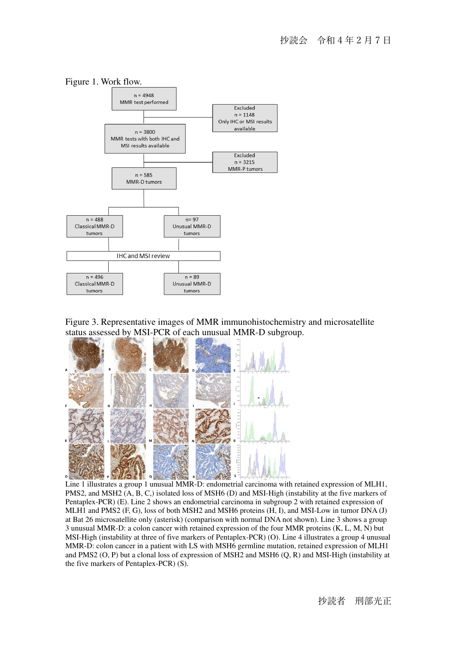



Figure 3. Representative images of MMR immunohistochemistry and microsatellite status assessed by MSI-PCR of each unusual MMR-D subgroup.



Line 1 illustrates a group 1 unusual MMR-D: endometrial carcinoma with retained expression of MLH1, PMS2, and MSH2 (A, B, C,) isolated loss of MSH6 (D) and MSI-High (instability at the five markers of Pentaplex-PCR) (E). Line 2 shows an endometrial carcinoma in subgroup 2 with retained expression of MLH1 and PMS2 (F, G), loss of both MSH2 and MSH6 proteins (H, I), and MSI-Low in tumor DNA (J) at Bat 26 microsatellite only (asterisk) (comparison with normal DNA not shown). Line 3 shows a group 3 unusual MMR-D: a colon cancer with retained expression of the four MMR proteins (K, L, M, N) but MSI-High (instability at three of five markers of Pentaplex-PCR) (O). Line 4 illustrates a group 4 unusual MMR-D: colon cancer in a patient with LS with MSH6 germline mutation, retained expression of MLH1 and PMS2 (O, P) but a clonal loss of expression of MSH2 and MSH6 (Q, R) and MSI-High (instability at the five markers of Pentaplex-PCR) (S).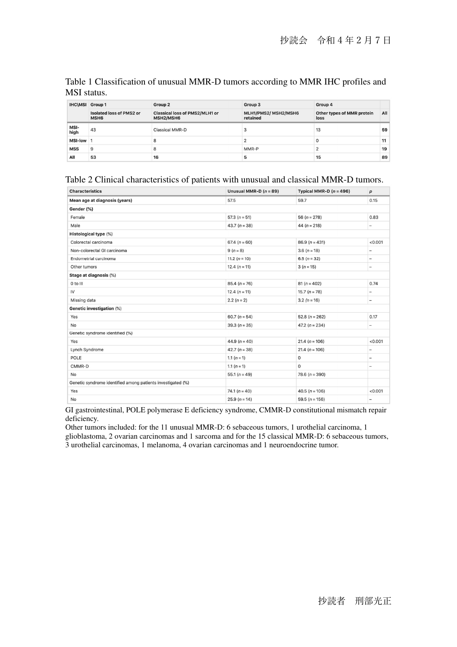| IHC\MSI Group 1 |                                                     | Group 2                                            | Group 3                          | Group 4                            |     |
|-----------------|-----------------------------------------------------|----------------------------------------------------|----------------------------------|------------------------------------|-----|
|                 | <b>Isolated loss of PMS2 or</b><br>MSH <sub>6</sub> | <b>Classical loss of PMS2/MLH1 or</b><br>MSH2/MSH6 | MLH1/PMS2/ MSH2/MSH6<br>retained | Other types of MMR protein<br>loss | All |
| MSI-<br>high    | 43                                                  | Classical MMR-D                                    |                                  | 13                                 | 59  |
| <b>MSI-low</b>  |                                                     | 8                                                  |                                  | $^{\circ}$                         | 11  |
| <b>MSS</b>      | 9                                                   | 8                                                  | MMR-P                            | $\Omega$                           | 19  |
| All             | 53                                                  | 16                                                 | 5                                | 15                                 | 89  |

#### Table 1 Classification of unusual MMR-D tumors according to MMR IHC profiles and MSI status.

#### Table 2 Clinical characteristics of patients with unusual and classical MMR-D tumors.

| <b>Characteristics</b>                                      | Unusual MMR-D $(n = 89)$ | Typical MMR-D $(n = 496)$ | p                        |  |
|-------------------------------------------------------------|--------------------------|---------------------------|--------------------------|--|
| Mean age at diagnosis (years)                               | 57.5                     | 59.7                      | 0.15                     |  |
| Gender (%)                                                  |                          |                           |                          |  |
| Female                                                      | $57.3(n = 51)$           | 56 ( $n = 278$ )          | 0.83                     |  |
| Male                                                        | 43.7 $(n = 38)$          | 44 $(n = 218)$            | $\overline{\phantom{0}}$ |  |
| Histological type (%)                                       |                          |                           |                          |  |
| Colorectal carcinoma                                        | 67.4 $(n = 60)$          | $86.9(n = 431)$           | < 0.001                  |  |
| Non-colorectal GI carcinoma                                 | $9 (n = 8)$              | $3.6(n=18)$               |                          |  |
| Endometrial carcinoma                                       | 11.2 $(n = 10)$          | $6.5(n=32)$               | $\qquad \qquad -$        |  |
| Other tumors                                                | 12.4 $(n = 11)$          | $3(n=15)$                 | $\qquad \qquad -$        |  |
| Stage at diagnosis (%)                                      |                          |                           |                          |  |
| 0 to III                                                    | $85.4(n=76)$             | $81 (n = 402)$            | 0.74                     |  |
| IV                                                          | 12.4 $(n = 11)$          | $15.7 (n = 78)$           | $\qquad \qquad -$        |  |
| Missing data                                                | $2.2 (n = 2)$            | $3.2 (n = 16)$            | $\qquad \qquad -$        |  |
| Genetic investigation (%)                                   |                          |                           |                          |  |
| Yes                                                         | 60.7 $(n = 54)$          | $52.8(n = 262)$           | 0.17                     |  |
| No                                                          | $39.3(n = 35)$           | 47.2 $(n = 234)$          | -                        |  |
| Genetic syndrome identified (%)                             |                          |                           |                          |  |
| Yes                                                         | 44.9 $(n = 40)$          | $21.4(n = 106)$           | < 0.001                  |  |
| Lynch Syndrome                                              | 42.7 $(n = 38)$          | $21.4(n = 106)$           | $\qquad \qquad -$        |  |
| POLE                                                        | 1.1 $(n = 1)$            | 0                         | -                        |  |
| CMMR-D                                                      | 1.1 $(n = 1)$            | 0                         | -                        |  |
| No                                                          | 55.1 $(n = 49)$          | 78.6 $(n = 390)$          |                          |  |
| Genetic syndrome identified among patients investigated (%) |                          |                           |                          |  |
| Yes                                                         | 74.1 $(n = 40)$          | 40.5 ( $n = 106$ )        | < 0.001                  |  |
| No                                                          | $25.9(n=14)$             | 59.5 ( $n = 156$ )        | -                        |  |
|                                                             |                          |                           |                          |  |

GI gastrointestinal, POLE polymerase E deficiency syndrome, CMMR-D constitutional mismatch repair deficiency.

Other tumors included: for the 11 unusual MMR-D: 6 sebaceous tumors, 1 urothelial carcinoma, 1 glioblastoma, 2 ovarian carcinomas and 1 sarcoma and for the 15 classical MMR-D: 6 sebaceous tumors, 3 urothelial carcinomas, 1 melanoma, 4 ovarian carcinomas and 1 neuroendocrine tumor.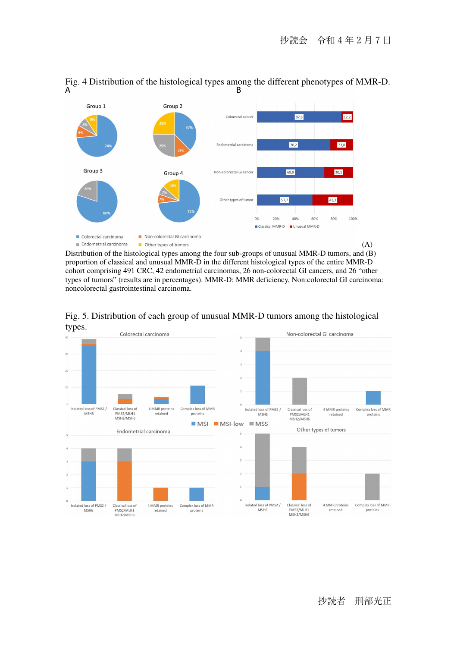

# Fig. 4 Distribution of the histological types among the different phenotypes of MMR-D.<br>B

Distribution of the histological types among the four sub-groups of unusual MMR-D tumors, and (B) proportion of classical and unusual MMR-D in the different histological types of the entire MMR-D cohort comprising 491 CRC, 42 endometrial carcinomas, 26 non-colorectal GI cancers, and 26 "other types of tumors" (results are in percentages). MMR-D: MMR deficiency, Non:colorectal GI carcinoma: noncolorectal gastrointestinal carcinoma.



#### Fig. 5. Distribution of each group of unusual MMR-D tumors among the histological types.